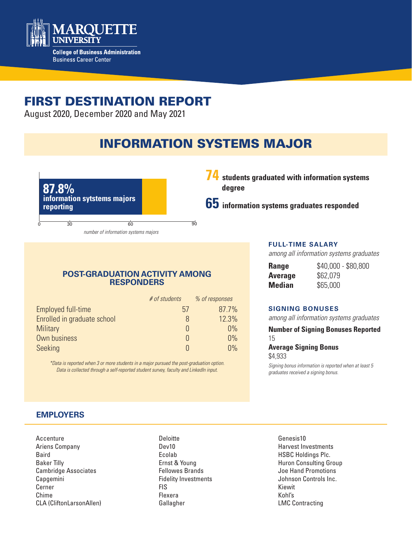

# FIRST DESTINATION REPORT

August 2020, December 2020 and May 2021

# INFORMATION SYSTEMS MAJOR



**74 students graduated with information systems degree**

**65 information systems graduates responded**

### **POST-GRADUATION ACTIVITY AMONG RESPONDERS**

|                             | $#$ of students | % of responses |
|-----------------------------|-----------------|----------------|
| Employed full-time          | 57              | 87.7%          |
| Enrolled in graduate school | 8               | 12.3%          |
| <b>Military</b>             |                 | $0\%$          |
| Own business                |                 | 0%             |
| Seeking                     |                 | 0%             |

*\*Data is reported when 3 or more students in a major pursued the post-graduation option. Data is collected through a self-reported student survey, faculty and LinkedIn input.*

#### **FULL-TIME SALARY**

*among all information systems graduates*

| Range   | \$40,000 - \$80,800 |
|---------|---------------------|
| Average | \$62,079            |
| Median  | \$65,000            |

#### **SIGNING BONUSES**

*among all information systems graduates*

**Number of Signing Bonuses Reported**

15

**Average Signing Bonus**  \$4,933

*Signing bonus information is reported when at least 5 graduates received a signing bonus.* 

# **EMPLOYERS**

Accenture Ariens Company Baird Baker Tilly Cambridge Associates Capgemini Cerner Chime CLA (CliftonLarsonAllen)

**Deloitte** Dev10 Ecolab Ernst & Young Fellowes Brands Fidelity Investments FIS Flexera Gallagher

Genesis10 Harvest Investments HSBC Holdings Plc. Huron Consulting Group Joe Hand Promotions Johnson Controls Inc. Kiewit Kohl's LMC Contracting